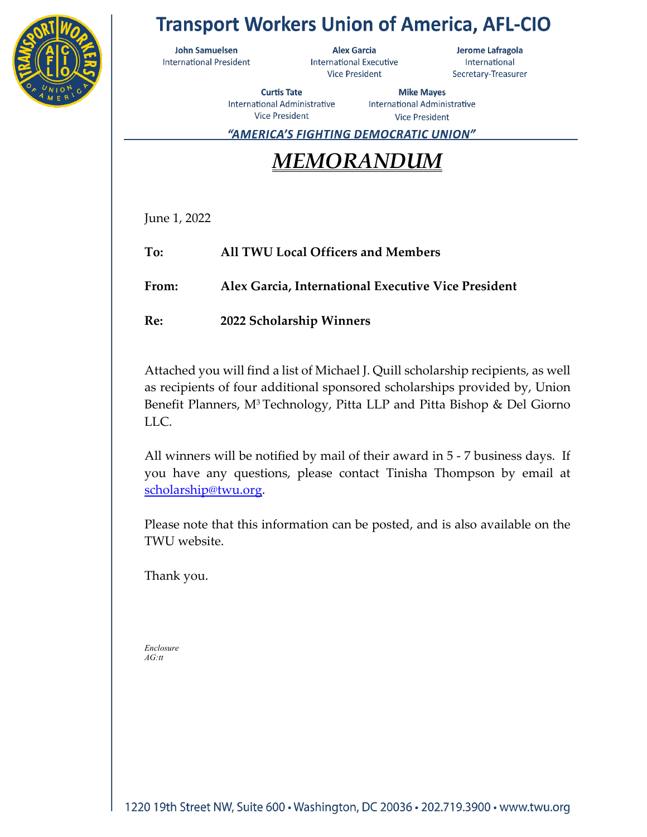

## **Transport Workers Union of America, AFL-CIO**

**John Samuelsen International President** 

**Alex Garcia International Executive Vice President** 

Jerome Lafragola International Secretary-Treasurer

**Curtis Tate** International Administrative **Vice President** 

**Mike Mayes International Administrative Vice President** 

"AMERICA'S FIGHTING DEMOCRATIC UNION"

# *MEMORANDUM*

June 1, 2022

**To: All TWU Local Officers and Members**

**From: Alex Garcia, International Executive Vice President**

**Re: 2022 Scholarship Winners**

Attached you will find a list of Michael J. Quill scholarship recipients, as well as recipients of four additional sponsored scholarships provided by, Union Benefit Planners, M<sup>3</sup> Technology, Pitta LLP and Pitta Bishop & Del Giorno LLC.

All winners will be notified by mail of their award in 5 - 7 business days. If you have any questions, please contact Tinisha Thompson by email at [scholarship@twu.org.](mailto:scholarship@twu.org)

Please note that this information can be posted, and is also available on the TWU website.

Thank you.

*Enclosure AG:tt*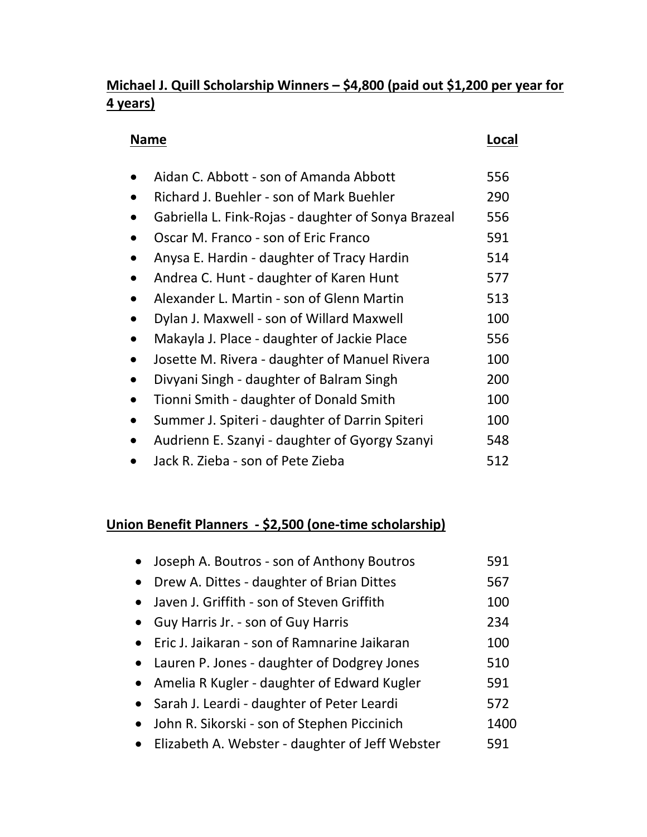### **Michael J. Quill Scholarship Winners – \$4,800 (paid out \$1,200 per year for 4 years)**

### **Name Local**

| Aidan C. Abbott - son of Amanda Abbott              | 556 |
|-----------------------------------------------------|-----|
| Richard J. Buehler - son of Mark Buehler            | 290 |
| Gabriella L. Fink-Rojas - daughter of Sonya Brazeal | 556 |
| Oscar M. Franco - son of Eric Franco                | 591 |
| Anysa E. Hardin - daughter of Tracy Hardin          | 514 |
| Andrea C. Hunt - daughter of Karen Hunt             | 577 |
| Alexander L. Martin - son of Glenn Martin           | 513 |
| Dylan J. Maxwell - son of Willard Maxwell           | 100 |
| Makayla J. Place - daughter of Jackie Place         | 556 |
| Josette M. Rivera - daughter of Manuel Rivera       | 100 |
| Divyani Singh - daughter of Balram Singh            | 200 |
| Tionni Smith - daughter of Donald Smith             | 100 |
| Summer J. Spiteri - daughter of Darrin Spiteri      | 100 |
| Audrienn E. Szanyi - daughter of Gyorgy Szanyi      | 548 |
| Jack R. Zieba - son of Pete Zieba                   | 512 |

### **Union Benefit Planners - \$2,500 (one-time scholarship)**

|           | Joseph A. Boutros - son of Anthony Boutros        | 591  |
|-----------|---------------------------------------------------|------|
| $\bullet$ | Drew A. Dittes - daughter of Brian Dittes         | 567  |
|           | • Javen J. Griffith - son of Steven Griffith      | 100  |
|           | Guy Harris Jr. - son of Guy Harris                | 234  |
|           | • Eric J. Jaikaran - son of Ramnarine Jaikaran    | 100  |
|           | • Lauren P. Jones - daughter of Dodgrey Jones     | 510  |
|           | • Amelia R Kugler - daughter of Edward Kugler     | 591  |
|           | • Sarah J. Leardi - daughter of Peter Leardi      | 572  |
|           | John R. Sikorski - son of Stephen Piccinich       | 1400 |
|           | • Elizabeth A. Webster - daughter of Jeff Webster | 591  |
|           |                                                   |      |